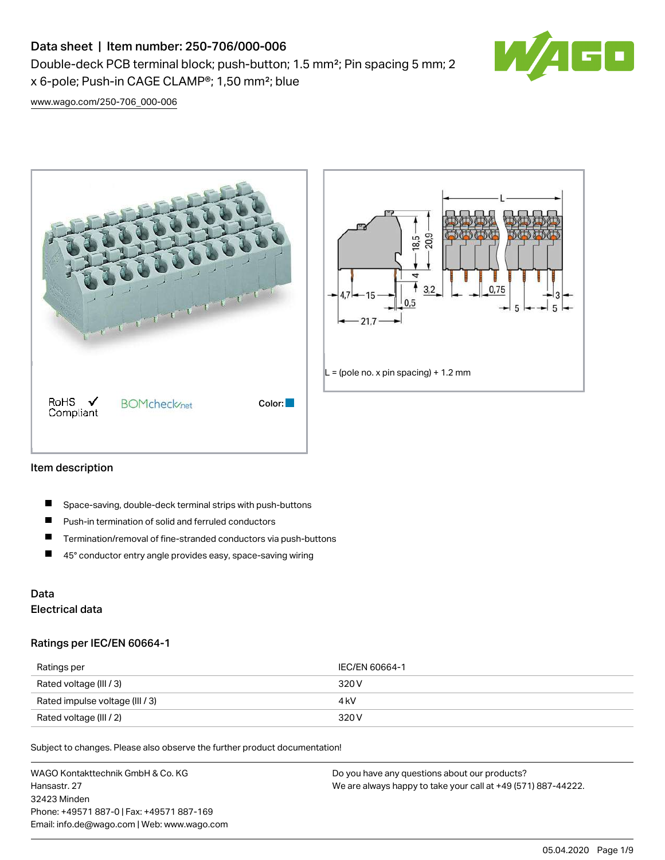# Data sheet | Item number: 250-706/000-006

Double-deck PCB terminal block; push-button; 1.5 mm²; Pin spacing 5 mm; 2 x 6-pole; Push-in CAGE CLAMP®; 1,50 mm²; blue



[www.wago.com/250-706\\_000-006](http://www.wago.com/250-706_000-006)





### Item description

- П Space-saving, double-deck terminal strips with push-buttons
- $\blacksquare$ Push-in termination of solid and ferruled conductors
- $\blacksquare$ Termination/removal of fine-stranded conductors via push-buttons
- $\blacksquare$ 45° conductor entry angle provides easy, space-saving wiring

## Data Electrical data

### Ratings per IEC/EN 60664-1

| Ratings per                     | IEC/EN 60664-1 |
|---------------------------------|----------------|
| Rated voltage (III / 3)         | 320 V          |
| Rated impulse voltage (III / 3) | 4 kV           |
| Rated voltage (III / 2)         | 320 V          |

Subject to changes. Please also observe the further product documentation!

WAGO Kontakttechnik GmbH & Co. KG Hansastr. 27 32423 Minden Phone: +49571 887-0 | Fax: +49571 887-169 Email: info.de@wago.com | Web: www.wago.com Do you have any questions about our products? We are always happy to take your call at +49 (571) 887-44222.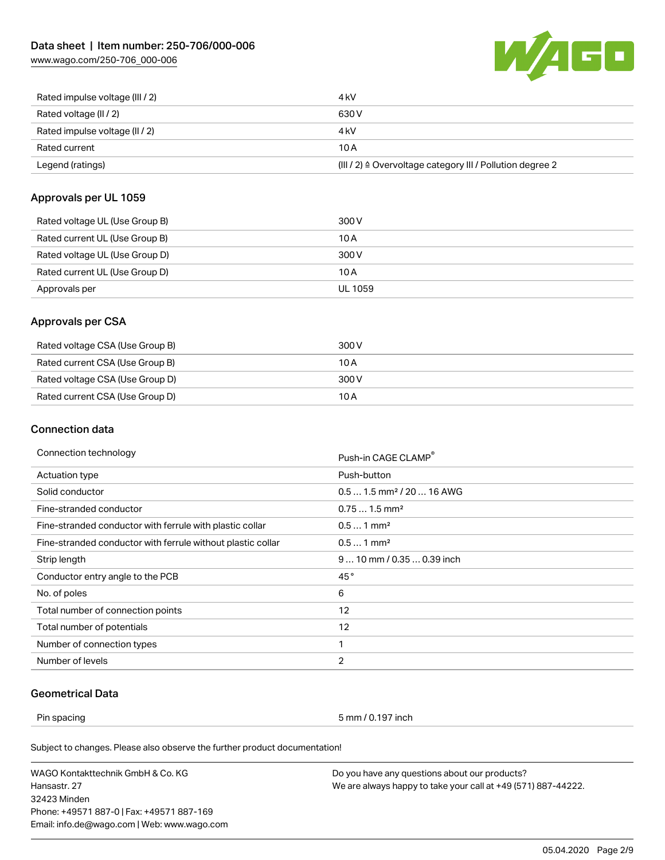[www.wago.com/250-706\\_000-006](http://www.wago.com/250-706_000-006)



| Rated impulse voltage (III / 2) | 4 kV                                                      |
|---------------------------------|-----------------------------------------------------------|
| Rated voltage (II / 2)          | 630 V                                                     |
| Rated impulse voltage (II / 2)  | 4 kV                                                      |
| Rated current                   | 10 A                                                      |
| Legend (ratings)                | (III / 2) ≙ Overvoltage category III / Pollution degree 2 |

## Approvals per UL 1059

| Rated voltage UL (Use Group B) | 300 V   |
|--------------------------------|---------|
| Rated current UL (Use Group B) | 10 A    |
| Rated voltage UL (Use Group D) | 300 V   |
| Rated current UL (Use Group D) | 10 A    |
| Approvals per                  | UL 1059 |

## Approvals per CSA

| Rated voltage CSA (Use Group B) | 300 V |
|---------------------------------|-------|
| Rated current CSA (Use Group B) | 10 A  |
| Rated voltage CSA (Use Group D) | 300 V |
| Rated current CSA (Use Group D) | 10 A  |

## Connection data

| Connection technology                                       | Push-in CAGE CLAMP®                   |
|-------------------------------------------------------------|---------------------------------------|
| <b>Actuation type</b>                                       | Push-button                           |
| Solid conductor                                             | $0.51.5$ mm <sup>2</sup> / 20  16 AWG |
| Fine-stranded conductor                                     | $0.751.5$ mm <sup>2</sup>             |
| Fine-stranded conductor with ferrule with plastic collar    | $0.51$ mm <sup>2</sup>                |
| Fine-stranded conductor with ferrule without plastic collar | $0.51$ mm <sup>2</sup>                |
| Strip length                                                | $910$ mm / 0.35  0.39 inch            |
| Conductor entry angle to the PCB                            | 45°                                   |
| No. of poles                                                | 6                                     |
| Total number of connection points                           | 12                                    |
| Total number of potentials                                  | 12                                    |
| Number of connection types                                  | 1                                     |
| Number of levels                                            | 2                                     |

## Geometrical Data

Pin spacing 5 mm / 0.197 inch

Subject to changes. Please also observe the further product documentation!

WAGO Kontakttechnik GmbH & Co. KG Hansastr. 27 32423 Minden Phone: +49571 887-0 | Fax: +49571 887-169 Email: info.de@wago.com | Web: www.wago.com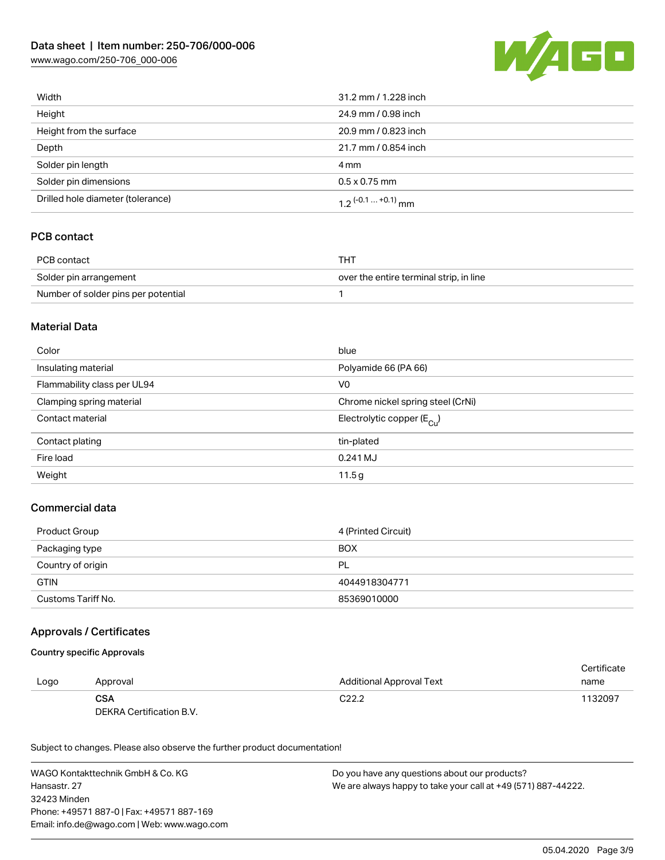[www.wago.com/250-706\\_000-006](http://www.wago.com/250-706_000-006)



| Width                             | 31.2 mm / 1.228 inch  |
|-----------------------------------|-----------------------|
| Height                            | 24.9 mm / 0.98 inch   |
| Height from the surface           | 20.9 mm / 0.823 inch  |
| Depth                             | 21.7 mm / 0.854 inch  |
| Solder pin length                 | 4 mm                  |
| Solder pin dimensions             | $0.5 \times 0.75$ mm  |
| Drilled hole diameter (tolerance) | $1.2$ (-0.1  +0.1) mm |

## PCB contact

| PCB contact                         | THT                                     |
|-------------------------------------|-----------------------------------------|
| Solder pin arrangement              | over the entire terminal strip, in line |
| Number of solder pins per potential |                                         |

### Material Data

| Color                       | blue                                    |
|-----------------------------|-----------------------------------------|
| Insulating material         | Polyamide 66 (PA 66)                    |
| Flammability class per UL94 | V <sub>0</sub>                          |
| Clamping spring material    | Chrome nickel spring steel (CrNi)       |
| Contact material            | Electrolytic copper ( $E_{\text{Cu}}$ ) |
| Contact plating             | tin-plated                              |
| Fire load                   | 0.241 MJ                                |
| Weight                      | 11.5g                                   |

## Commercial data

| Product Group      | 4 (Printed Circuit) |
|--------------------|---------------------|
| Packaging type     | <b>BOX</b>          |
| Country of origin  | PL                  |
| <b>GTIN</b>        | 4044918304771       |
| Customs Tariff No. | 85369010000         |

### Approvals / Certificates

#### Country specific Approvals

|      |                          |                          | Certificate |
|------|--------------------------|--------------------------|-------------|
| Logo | Approval                 | Additional Approval Text | name        |
|      | <b>CSA</b>               | C <sub>22.2</sub>        | 1132097     |
|      | DEKRA Certification B.V. |                          |             |

Subject to changes. Please also observe the further product documentation!

WAGO Kontakttechnik GmbH & Co. KG Hansastr. 27 32423 Minden Phone: +49571 887-0 | Fax: +49571 887-169 Email: info.de@wago.com | Web: www.wago.com Do you have any questions about our products? We are always happy to take your call at +49 (571) 887-44222.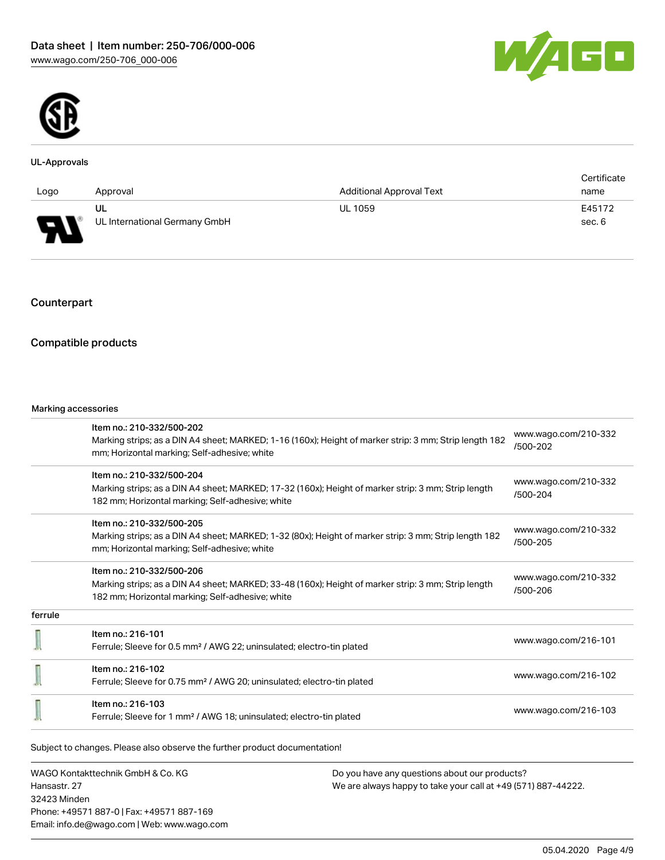



#### UL-Approvals

|                                                                |                               |                                 | Certificate |
|----------------------------------------------------------------|-------------------------------|---------------------------------|-------------|
| Logo                                                           | Approval                      | <b>Additional Approval Text</b> | name        |
|                                                                | UL                            | <b>UL 1059</b>                  | E45172      |
| $\Box$<br>$\overline{\phantom{a}}$<br>$\overline{\phantom{a}}$ | UL International Germany GmbH |                                 | sec. 6      |

## Counterpart

## Compatible products

#### Marking accessories

|         | Item no.: 210-332/500-202                                                                              |                                  |  |
|---------|--------------------------------------------------------------------------------------------------------|----------------------------------|--|
|         | Marking strips; as a DIN A4 sheet; MARKED; 1-16 (160x); Height of marker strip: 3 mm; Strip length 182 | www.wago.com/210-332<br>/500-202 |  |
|         | mm; Horizontal marking; Self-adhesive; white                                                           |                                  |  |
|         | Item no.: 210-332/500-204                                                                              |                                  |  |
|         | Marking strips; as a DIN A4 sheet; MARKED; 17-32 (160x); Height of marker strip: 3 mm; Strip length    | www.wago.com/210-332<br>/500-204 |  |
|         | 182 mm; Horizontal marking; Self-adhesive; white                                                       |                                  |  |
|         | Item no.: 210-332/500-205                                                                              |                                  |  |
|         | Marking strips; as a DIN A4 sheet; MARKED; 1-32 (80x); Height of marker strip: 3 mm; Strip length 182  | www.wago.com/210-332             |  |
|         | mm; Horizontal marking; Self-adhesive; white                                                           | /500-205                         |  |
|         | Item no.: 210-332/500-206                                                                              |                                  |  |
|         | Marking strips; as a DIN A4 sheet; MARKED; 33-48 (160x); Height of marker strip: 3 mm; Strip length    | www.wago.com/210-332             |  |
|         | 182 mm; Horizontal marking; Self-adhesive; white                                                       | /500-206                         |  |
| ferrule |                                                                                                        |                                  |  |
|         | Item no.: 216-101                                                                                      |                                  |  |
|         | Ferrule; Sleeve for 0.5 mm <sup>2</sup> / AWG 22; uninsulated; electro-tin plated                      | www.wago.com/216-101             |  |
|         | Item no.: 216-102                                                                                      |                                  |  |
|         | Ferrule; Sleeve for 0.75 mm <sup>2</sup> / AWG 20; uninsulated; electro-tin plated                     | www.wago.com/216-102             |  |
|         | Item no.: 216-103                                                                                      |                                  |  |
|         | Ferrule; Sleeve for 1 mm <sup>2</sup> / AWG 18; uninsulated; electro-tin plated                        | www.wago.com/216-103             |  |

WAGO Kontakttechnik GmbH & Co. KG Hansastr. 27 32423 Minden Phone: +49571 887-0 | Fax: +49571 887-169 Email: info.de@wago.com | Web: www.wago.com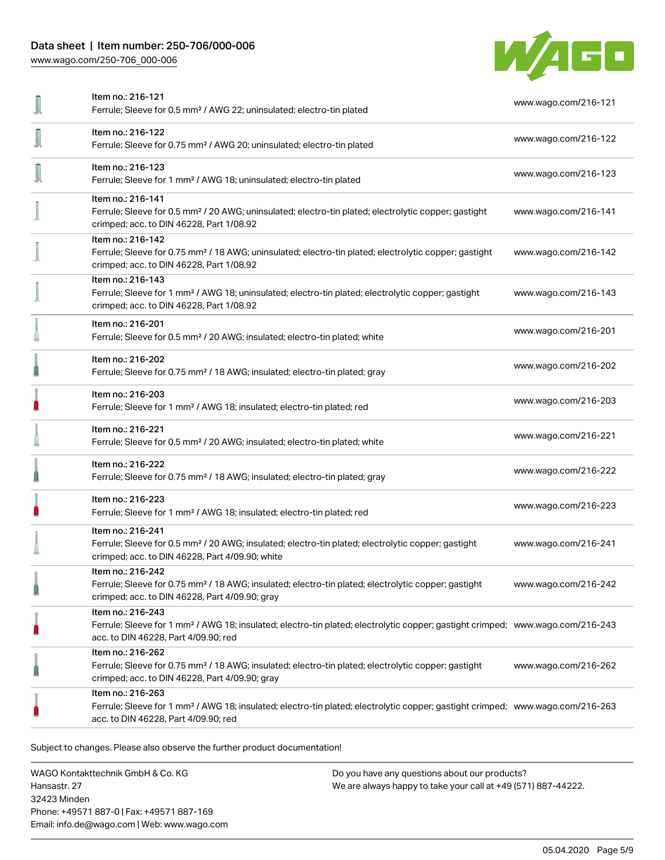## Data sheet | Item number: 250-706/000-006

[www.wago.com/250-706\\_000-006](http://www.wago.com/250-706_000-006)



| Item no.: 216-121<br>Ferrule; Sleeve for 0.5 mm <sup>2</sup> / AWG 22; uninsulated; electro-tin plated                                                                                                  | www.wago.com/216-121 |
|---------------------------------------------------------------------------------------------------------------------------------------------------------------------------------------------------------|----------------------|
| Item no.: 216-122<br>Ferrule; Sleeve for 0.75 mm <sup>2</sup> / AWG 20; uninsulated; electro-tin plated                                                                                                 | www.wago.com/216-122 |
| Item no.: 216-123<br>Ferrule; Sleeve for 1 mm <sup>2</sup> / AWG 18; uninsulated; electro-tin plated                                                                                                    | www.wago.com/216-123 |
| Item no.: 216-141<br>Ferrule; Sleeve for 0.5 mm <sup>2</sup> / 20 AWG; uninsulated; electro-tin plated; electrolytic copper; gastight<br>crimped; acc. to DIN 46228, Part 1/08.92                       | www.wago.com/216-141 |
| Item no.: 216-142<br>Ferrule; Sleeve for 0.75 mm <sup>2</sup> / 18 AWG; uninsulated; electro-tin plated; electrolytic copper; gastight<br>crimped; acc. to DIN 46228, Part 1/08.92                      | www.wago.com/216-142 |
| Item no.: 216-143<br>Ferrule; Sleeve for 1 mm <sup>2</sup> / AWG 18; uninsulated; electro-tin plated; electrolytic copper; gastight<br>crimped; acc. to DIN 46228, Part 1/08.92                         | www.wago.com/216-143 |
| Item no.: 216-201<br>Ferrule; Sleeve for 0.5 mm <sup>2</sup> / 20 AWG; insulated; electro-tin plated; white                                                                                             | www.wago.com/216-201 |
| Item no.: 216-202<br>Ferrule; Sleeve for 0.75 mm <sup>2</sup> / 18 AWG; insulated; electro-tin plated; gray                                                                                             | www.wago.com/216-202 |
| Item no.: 216-203<br>Ferrule; Sleeve for 1 mm <sup>2</sup> / AWG 18; insulated; electro-tin plated; red                                                                                                 | www.wago.com/216-203 |
| Item no.: 216-221<br>Ferrule; Sleeve for 0.5 mm <sup>2</sup> / 20 AWG; insulated; electro-tin plated; white                                                                                             | www.wago.com/216-221 |
| Item no.: 216-222<br>Ferrule; Sleeve for 0.75 mm <sup>2</sup> / 18 AWG; insulated; electro-tin plated; gray                                                                                             | www.wago.com/216-222 |
| Item no.: 216-223<br>Ferrule; Sleeve for 1 mm <sup>2</sup> / AWG 18; insulated; electro-tin plated; red                                                                                                 | www.wago.com/216-223 |
| Item no.: 216-241<br>Ferrule; Sleeve for 0.5 mm <sup>2</sup> / 20 AWG; insulated; electro-tin plated; electrolytic copper; gastight<br>crimped; acc. to DIN 46228, Part 4/09.90; white                  | www.wago.com/216-241 |
| Item no.: 216-242<br>Ferrule; Sleeve for 0.75 mm <sup>2</sup> / 18 AWG; insulated; electro-tin plated; electrolytic copper; gastight<br>crimped; acc. to DIN 46228, Part 4/09.90; gray                  | www.wago.com/216-242 |
| Item no.: 216-243<br>Ferrule; Sleeve for 1 mm <sup>2</sup> / AWG 18; insulated; electro-tin plated; electrolytic copper; gastight crimped; www.wago.com/216-243<br>acc. to DIN 46228, Part 4/09.90; red |                      |
| Item no.: 216-262<br>Ferrule; Sleeve for 0.75 mm <sup>2</sup> / 18 AWG; insulated; electro-tin plated; electrolytic copper; gastight<br>crimped; acc. to DIN 46228, Part 4/09.90; gray                  | www.wago.com/216-262 |
| Item no.: 216-263<br>Ferrule; Sleeve for 1 mm <sup>2</sup> / AWG 18; insulated; electro-tin plated; electrolytic copper; gastight crimped; www.wago.com/216-263<br>acc. to DIN 46228, Part 4/09.90; red |                      |
|                                                                                                                                                                                                         |                      |

.<br>Subject to changes. Please also observe the further product documentation!

WAGO Kontakttechnik GmbH & Co. KG Hansastr. 27 32423 Minden Phone: +49571 887-0 | Fax: +49571 887-169 Email: info.de@wago.com | Web: www.wago.com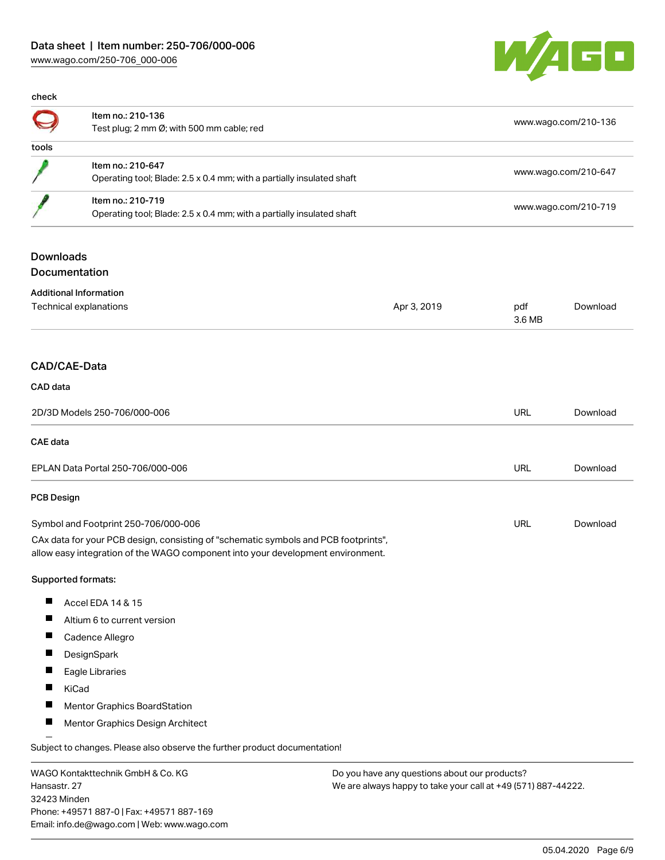

| check |                                                                                            |                      |
|-------|--------------------------------------------------------------------------------------------|----------------------|
|       | Item no.: 210-136<br>Test plug; 2 mm $\varnothing$ ; with 500 mm cable; red                | www.wago.com/210-136 |
| tools |                                                                                            |                      |
|       | Item no.: 210-647<br>Operating tool; Blade: 2.5 x 0.4 mm; with a partially insulated shaft | www.wago.com/210-647 |
|       | Item no.: 210-719<br>Operating tool; Blade: 2.5 x 0.4 mm; with a partially insulated shaft | www.wago.com/210-719 |
|       |                                                                                            |                      |

# Downloads

Documentation

| <b>Additional Information</b>                                                                                                                                          |             |               |          |
|------------------------------------------------------------------------------------------------------------------------------------------------------------------------|-------------|---------------|----------|
| Technical explanations                                                                                                                                                 | Apr 3, 2019 | pdf<br>3.6 MB | Download |
|                                                                                                                                                                        |             |               |          |
| CAD/CAE-Data                                                                                                                                                           |             |               |          |
| CAD data                                                                                                                                                               |             |               |          |
| 2D/3D Models 250-706/000-006                                                                                                                                           |             | URL           | Download |
| <b>CAE</b> data                                                                                                                                                        |             |               |          |
| EPLAN Data Portal 250-706/000-006                                                                                                                                      |             | URL           | Download |
| <b>PCB Design</b>                                                                                                                                                      |             |               |          |
| Symbol and Footprint 250-706/000-006                                                                                                                                   |             | URL           | Download |
| CAx data for your PCB design, consisting of "schematic symbols and PCB footprints",<br>allow easy integration of the WAGO component into your development environment. |             |               |          |
| Supported formats:                                                                                                                                                     |             |               |          |
| ш<br>Accel EDA 14 & 15                                                                                                                                                 |             |               |          |
| Ш<br>Altium 6 to current version                                                                                                                                       |             |               |          |
| Ш<br>Cadence Allegro                                                                                                                                                   |             |               |          |
| ш<br>DesignSpark                                                                                                                                                       |             |               |          |
| ш<br>Eagle Libraries                                                                                                                                                   |             |               |          |
| П<br>KiCad                                                                                                                                                             |             |               |          |
| Mentor Graphics BoardStation                                                                                                                                           |             |               |          |

 $\blacksquare$ Mentor Graphics Design Architect

Subject to changes. Please also observe the further product documentation!

WAGO Kontakttechnik GmbH & Co. KG Hansastr. 27 32423 Minden Phone: +49571 887-0 | Fax: +49571 887-169 Email: info.de@wago.com | Web: www.wago.com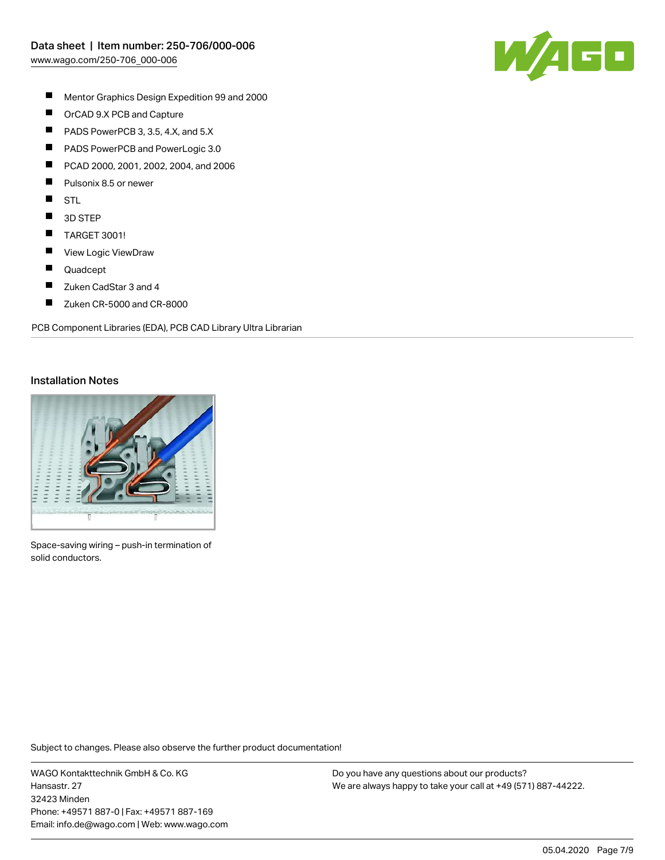

- $\blacksquare$ Mentor Graphics Design Expedition 99 and 2000
- $\blacksquare$ OrCAD 9.X PCB and Capture
- $\blacksquare$ PADS PowerPCB 3, 3.5, 4.X, and 5.X
- $\blacksquare$ PADS PowerPCB and PowerLogic 3.0
- П PCAD 2000, 2001, 2002, 2004, and 2006
- П Pulsonix 8.5 or newer
- $\blacksquare$ STL
- $\blacksquare$ 3D STEP
- $\blacksquare$ TARGET 3001!
- $\blacksquare$ View Logic ViewDraw
- $\blacksquare$ Quadcept
- $\blacksquare$ Zuken CadStar 3 and 4
- $\blacksquare$ Zuken CR-5000 and CR-8000

PCB Component Libraries (EDA), PCB CAD Library Ultra Librarian

#### Installation Notes



Space-saving wiring – push-in termination of solid conductors.

Subject to changes. Please also observe the further product documentation!

WAGO Kontakttechnik GmbH & Co. KG Hansastr. 27 32423 Minden Phone: +49571 887-0 | Fax: +49571 887-169 Email: info.de@wago.com | Web: www.wago.com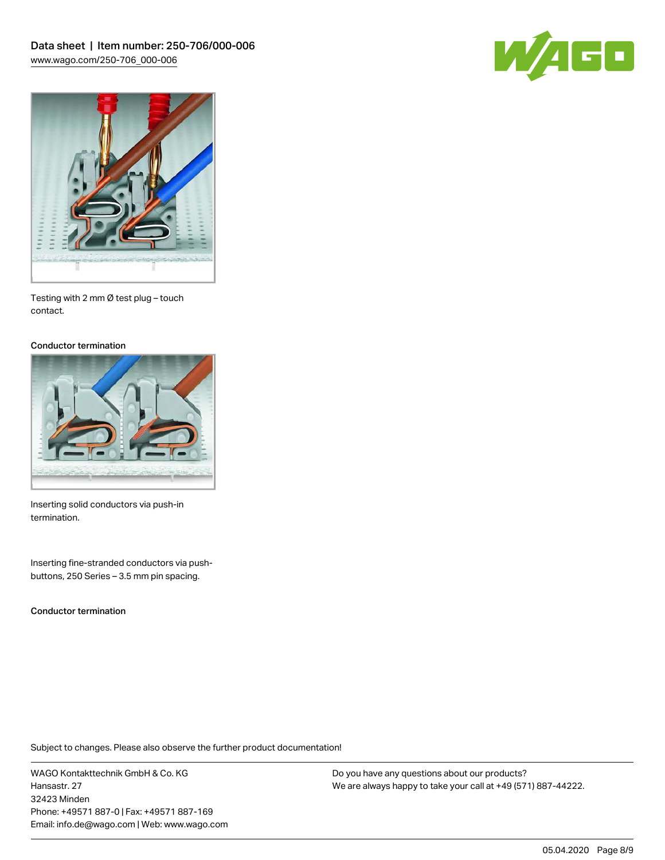



Testing with 2 mm Ø test plug – touch contact.

#### Conductor termination



Inserting solid conductors via push-in termination.

Inserting fine-stranded conductors via pushbuttons, 250 Series – 3.5 mm pin spacing.

Conductor termination

Subject to changes. Please also observe the further product documentation!

WAGO Kontakttechnik GmbH & Co. KG Hansastr. 27 32423 Minden Phone: +49571 887-0 | Fax: +49571 887-169 Email: info.de@wago.com | Web: www.wago.com